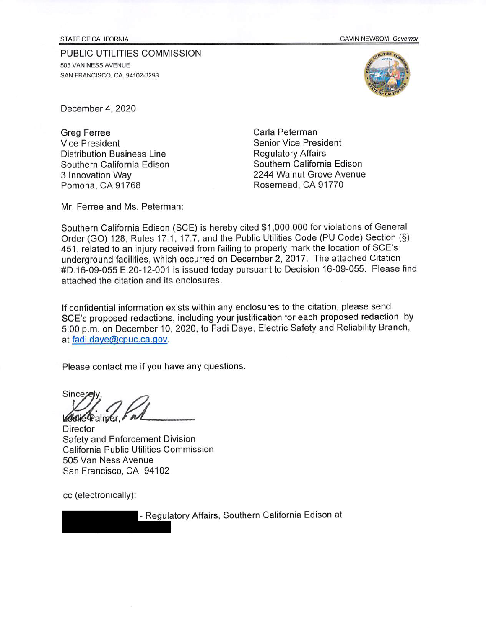**STATE OF CALIFORNIA** 

GAVIN NEWSOM, Governor

PUBLIC UTILITIES COMMISSION 505 VAN NESS AVENUE SAN FRANCISCO, CA. 94102-3298



December 4, 2020

**Greg Ferree Vice President Distribution Business Line** Southern California Edison 3 Innovation Way Pomona, CA 91768

Carla Peterman **Senior Vice President Regulatory Affairs** Southern California Edison 2244 Walnut Grove Avenue Rosemead, CA 91770

Mr. Ferree and Ms. Peterman:

Southern California Edison (SCE) is hereby cited \$1,000,000 for violations of General Order (GO) 128, Rules 17.1, 17.7, and the Public Utilities Code (PU Code) Section (§) 451, related to an injury received from failing to properly mark the location of SCE's underground facilities, which occurred on December 2, 2017. The attached Citation #D.16-09-055 E.20-12-001 is issued today pursuant to Decision 16-09-055. Please find attached the citation and its enclosures.

If confidential information exists within any enclosures to the citation, please send SCE's proposed redactions, including your justification for each proposed redaction, by 5:00 p.m. on December 10, 2020, to Fadi Daye, Electric Safety and Reliability Branch, at fadi.daye@cpuc.ca.gov.

Please contact me if you have any questions.

Sincere Galie Palmer Fou

**Director** Safety and Enforcement Division California Public Utilities Commission 505 Van Ness Avenue San Francisco, CA 94102

cc (electronically):

- Regulatory Affairs, Southern California Edison at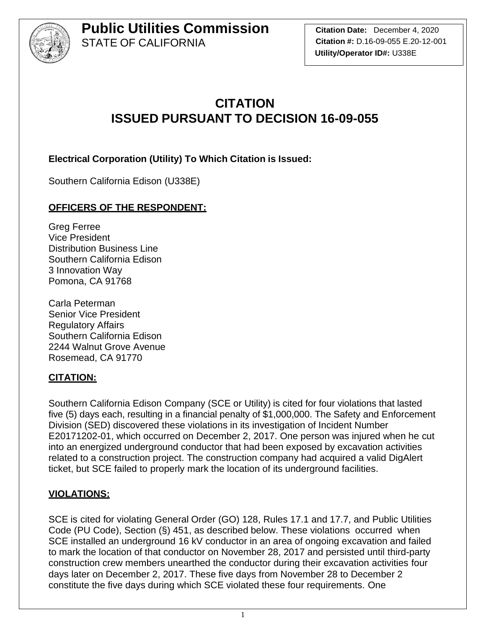

**Citation Date:** December 4, 2020 **Citation #:** D.16-09-055 E.20-12-001 **Utility/Operator ID#:** U338E

## **CITATION ISSUED PURSUANT TO DECISION 16-09-055**

**Electrical Corporation (Utility) To Which Citation is Issued:** 

Southern California Edison (U338E)

## **OFFICERS OF THE RESPONDENT:**

Greg Ferree Vice President Distribution Business Line Southern California Edison 3 Innovation Way Pomona, CA 91768

Carla Peterman Senior Vice President Regulatory Affairs Southern California Edison 2244 Walnut Grove Avenue Rosemead, CA 91770

### **CITATION:**

Southern California Edison Company (SCE or Utility) is cited for four violations that lasted five (5) days each, resulting in a financial penalty of \$1,000,000. The Safety and Enforcement Division (SED) discovered these violations in its investigation of Incident Number E20171202-01, which occurred on December 2, 2017. One person was injured when he cut into an energized underground conductor that had been exposed by excavation activities related to a construction project. The construction company had acquired a valid DigAlert ticket, but SCE failed to properly mark the location of its underground facilities.

### **VIOLATIONS:**

SCE is cited for violating General Order (GO) 128, Rules 17.1 and 17.7, and Public Utilities Code (PU Code), Section (§) 451, as described below. These violations occurred when SCE installed an underground 16 kV conductor in an area of ongoing excavation and failed to mark the location of that conductor on November 28, 2017 and persisted until third-party construction crew members unearthed the conductor during their excavation activities four days later on December 2, 2017. These five days from November 28 to December 2 constitute the five days during which SCE violated these four requirements. One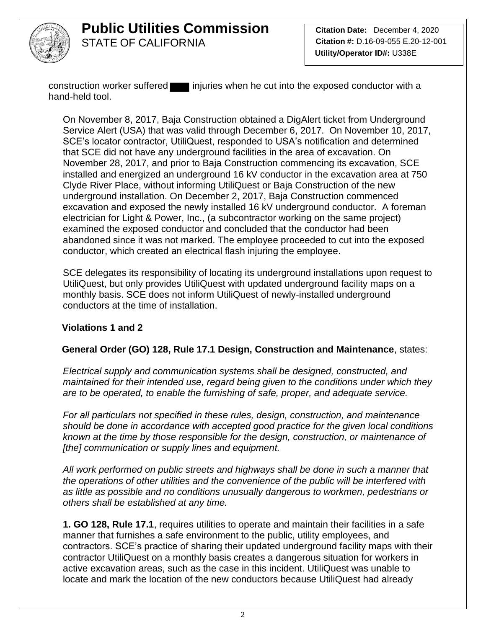

construction worker suffered injuries when he cut into the exposed conductor with a hand-held tool.

On November 8, 2017, Baja Construction obtained a DigAlert ticket from Underground Service Alert (USA) that was valid through December 6, 2017. On November 10, 2017, SCE's locator contractor, UtiliQuest, responded to USA's notification and determined that SCE did not have any underground facilities in the area of excavation. On November 28, 2017, and prior to Baja Construction commencing its excavation, SCE installed and energized an underground 16 kV conductor in the excavation area at 750 Clyde River Place, without informing UtiliQuest or Baja Construction of the new underground installation. On December 2, 2017, Baja Construction commenced excavation and exposed the newly installed 16 kV underground conductor. A foreman electrician for Light & Power, Inc., (a subcontractor working on the same project) examined the exposed conductor and concluded that the conductor had been abandoned since it was not marked. The employee proceeded to cut into the exposed conductor, which created an electrical flash injuring the employee.

SCE delegates its responsibility of locating its underground installations upon request to UtiliQuest, but only provides UtiliQuest with updated underground facility maps on a monthly basis. SCE does not inform UtiliQuest of newly-installed underground conductors at the time of installation.

### **Violations 1 and 2**

### **General Order (GO) 128, Rule 17.1 Design, Construction and Maintenance**, states:

*Electrical supply and communication systems shall be designed, constructed, and maintained for their intended use, regard being given to the conditions under which they are to be operated, to enable the furnishing of safe, proper, and adequate service.*

*For all particulars not specified in these rules, design, construction, and maintenance should be done in accordance with accepted good practice for the given local conditions known at the time by those responsible for the design, construction, or maintenance of [the] communication or supply lines and equipment.*

*All work performed on public streets and highways shall be done in such a manner that the operations of other utilities and the convenience of the public will be interfered with as little as possible and no conditions unusually dangerous to workmen, pedestrians or others shall be established at any time.*

**1. GO 128, Rule 17.1**, requires utilities to operate and maintain their facilities in a safe manner that furnishes a safe environment to the public, utility employees, and contractors. SCE's practice of sharing their updated underground facility maps with their contractor UtiliQuest on a monthly basis creates a dangerous situation for workers in active excavation areas, such as the case in this incident. UtiliQuest was unable to locate and mark the location of the new conductors because UtiliQuest had already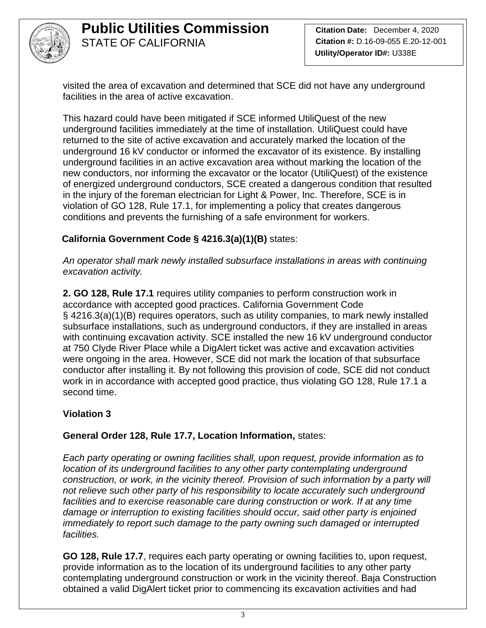

visited the area of excavation and determined that SCE did not have any underground facilities in the area of active excavation.

This hazard could have been mitigated if SCE informed UtiliQuest of the new underground facilities immediately at the time of installation. UtiliQuest could have returned to the site of active excavation and accurately marked the location of the underground 16 kV conductor or informed the excavator of its existence. By installing underground facilities in an active excavation area without marking the location of the new conductors, nor informing the excavator or the locator (UtiliQuest) of the existence of energized underground conductors, SCE created a dangerous condition that resulted in the injury of the foreman electrician for Light & Power, Inc. Therefore, SCE is in violation of GO 128, Rule 17.1, for implementing a policy that creates dangerous conditions and prevents the furnishing of a safe environment for workers.

## **California Government Code § 4216.3(a)(1)(B)** states:

*An operator shall mark newly installed subsurface installations in areas with continuing excavation activity.*

**2. GO 128, Rule 17.1** requires utility companies to perform construction work in accordance with accepted good practices. California Government Code § 4216.3(a)(1)(B) requires operators, such as utility companies, to mark newly installed subsurface installations, such as underground conductors, if they are installed in areas with continuing excavation activity. SCE installed the new 16 kV underground conductor at 750 Clyde River Place while a DigAlert ticket was active and excavation activities were ongoing in the area. However, SCE did not mark the location of that subsurface conductor after installing it. By not following this provision of code, SCE did not conduct work in in accordance with accepted good practice, thus violating GO 128, Rule 17.1 a second time.

### **Violation 3**

#### **General Order 128, Rule 17.7, Location Information,** states:

*Each party operating or owning facilities shall, upon request, provide information as to location of its underground facilities to any other party contemplating underground construction, or work, in the vicinity thereof. Provision of such information by a party will not relieve such other party of his responsibility to locate accurately such underground*  facilities and to exercise reasonable care during construction or work. If at any time *damage or interruption to existing facilities should occur, said other party is enjoined immediately to report such damage to the party owning such damaged or interrupted facilities.*

**GO 128, Rule 17.7**, requires each party operating or owning facilities to, upon request, provide information as to the location of its underground facilities to any other party contemplating underground construction or work in the vicinity thereof. Baja Construction obtained a valid DigAlert ticket prior to commencing its excavation activities and had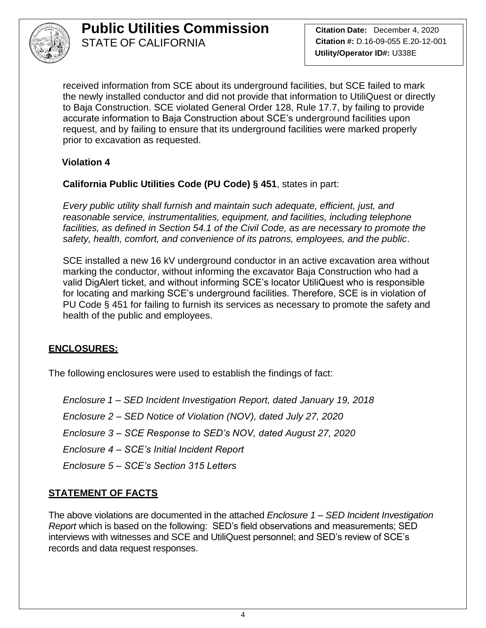

**Citation Date:** December 4, 2020 **Citation #:** D.16-09-055 E.20-12-001 **Utility/Operator ID#:** U338E

received information from SCE about its underground facilities, but SCE failed to mark the newly installed conductor and did not provide that information to UtiliQuest or directly to Baja Construction. SCE violated General Order 128, Rule 17.7, by failing to provide accurate information to Baja Construction about SCE's underground facilities upon request, and by failing to ensure that its underground facilities were marked properly prior to excavation as requested.

#### **Violation 4**

**California Public Utilities Code (PU Code) § 451**, states in part:

*Every public utility shall furnish and maintain such adequate, efficient, just, and reasonable service, instrumentalities, equipment, and facilities, including telephone*  facilities, as defined in Section 54.1 of the Civil Code, as are necessary to promote the *safety, health, comfort, and convenience of its patrons, employees, and the public*.

SCE installed a new 16 kV underground conductor in an active excavation area without marking the conductor, without informing the excavator Baja Construction who had a valid DigAlert ticket, and without informing SCE's locator UtiliQuest who is responsible for locating and marking SCE's underground facilities. Therefore, SCE is in violation of PU Code § 451 for failing to furnish its services as necessary to promote the safety and health of the public and employees.

### **ENCLOSURES:**

The following enclosures were used to establish the findings of fact:

*Enclosure 1 – SED Incident Investigation Report, dated January 19, 2018 Enclosure 2 – SED Notice of Violation (NOV), dated July 27, 2020 Enclosure 3 – SCE Response to SED's NOV, dated August 27, 2020 Enclosure 4 – SCE's Initial Incident Report Enclosure 5 – SCE's Section 315 Letters*

### **STATEMENT OF FACTS**

The above violations are documented in the attached *Enclosure 1 – SED Incident Investigation Report* which is based on the following: SED's field observations and measurements; SED interviews with witnesses and SCE and UtiliQuest personnel; and SED's review of SCE's records and data request responses.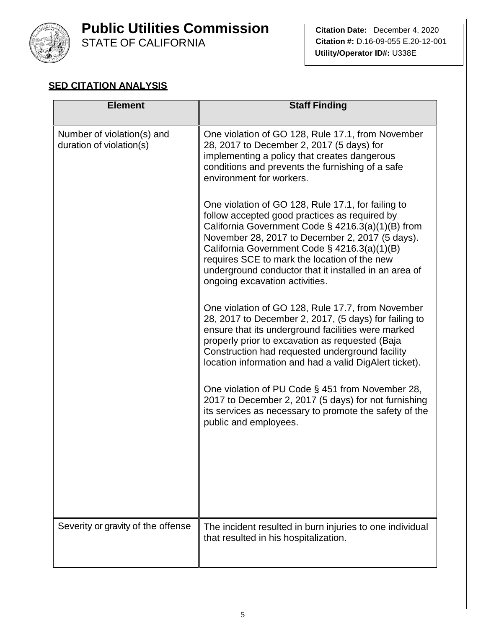

# **Public Utilities Commission**

STATE OF CALIFORNIA

## **SED CITATION ANALYSIS**

| <b>Element</b>                                         | <b>Staff Finding</b>                                                                                                                                                                                                                                                                                                                                                                                      |
|--------------------------------------------------------|-----------------------------------------------------------------------------------------------------------------------------------------------------------------------------------------------------------------------------------------------------------------------------------------------------------------------------------------------------------------------------------------------------------|
| Number of violation(s) and<br>duration of violation(s) | One violation of GO 128, Rule 17.1, from November<br>28, 2017 to December 2, 2017 (5 days) for<br>implementing a policy that creates dangerous<br>conditions and prevents the furnishing of a safe<br>environment for workers.                                                                                                                                                                            |
|                                                        | One violation of GO 128, Rule 17.1, for failing to<br>follow accepted good practices as required by<br>California Government Code $\S$ 4216.3(a)(1)(B) from<br>November 28, 2017 to December 2, 2017 (5 days).<br>California Government Code § 4216.3(a)(1)(B)<br>requires SCE to mark the location of the new<br>underground conductor that it installed in an area of<br>ongoing excavation activities. |
|                                                        | One violation of GO 128, Rule 17.7, from November<br>28, 2017 to December 2, 2017, (5 days) for failing to<br>ensure that its underground facilities were marked<br>properly prior to excavation as requested (Baja<br>Construction had requested underground facility<br>location information and had a valid DigAlert ticket).                                                                          |
|                                                        | One violation of PU Code § 451 from November 28,<br>2017 to December 2, 2017 (5 days) for not furnishing<br>its services as necessary to promote the safety of the<br>public and employees.                                                                                                                                                                                                               |
|                                                        |                                                                                                                                                                                                                                                                                                                                                                                                           |
| Severity or gravity of the offense                     | The incident resulted in burn injuries to one individual<br>that resulted in his hospitalization.                                                                                                                                                                                                                                                                                                         |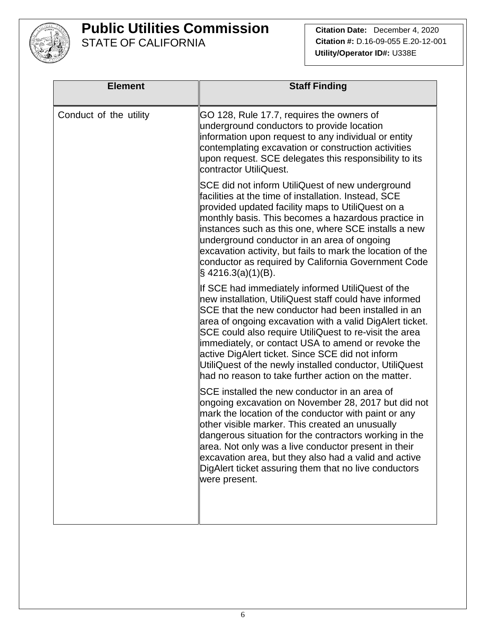

**Citation Date:** December 4, 2020 **Citation #:** D.16-09-055 E.20-12-001 **Utility/Operator ID#:** U338E

| <b>Element</b>         | <b>Staff Finding</b>                                                                                                                                                                                                                                                                                                                                                                                                                                                                                                 |
|------------------------|----------------------------------------------------------------------------------------------------------------------------------------------------------------------------------------------------------------------------------------------------------------------------------------------------------------------------------------------------------------------------------------------------------------------------------------------------------------------------------------------------------------------|
| Conduct of the utility | GO 128, Rule 17.7, requires the owners of<br>underground conductors to provide location<br>information upon request to any individual or entity<br>contemplating excavation or construction activities<br>upon request. SCE delegates this responsibility to its<br>contractor UtiliQuest.                                                                                                                                                                                                                           |
|                        | SCE did not inform UtiliQuest of new underground<br>facilities at the time of installation. Instead, SCE<br>provided updated facility maps to UtiliQuest on a<br>monthly basis. This becomes a hazardous practice in<br>instances such as this one, where SCE installs a new<br>underground conductor in an area of ongoing<br>excavation activity, but fails to mark the location of the<br>conductor as required by California Government Code<br>$\S$ 4216.3(a)(1)(B).                                            |
|                        | If SCE had immediately informed UtiliQuest of the<br>new installation, UtiliQuest staff could have informed<br>SCE that the new conductor had been installed in an<br>area of ongoing excavation with a valid DigAlert ticket.<br>SCE could also require UtiliQuest to re-visit the area<br>immediately, or contact USA to amend or revoke the<br>active DigAlert ticket. Since SCE did not inform<br>UtiliQuest of the newly installed conductor, UtiliQuest<br>had no reason to take further action on the matter. |
|                        | SCE installed the new conductor in an area of<br>ongoing excavation on November 28, 2017 but did not<br>mark the location of the conductor with paint or any<br>other visible marker. This created an unusually<br>dangerous situation for the contractors working in the<br>area. Not only was a live conductor present in their<br>excavation area, but they also had a valid and active<br>DigAlert ticket assuring them that no live conductors<br>were present.                                                 |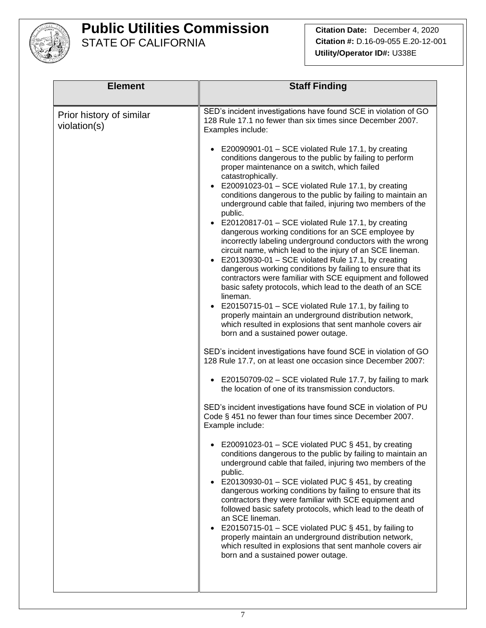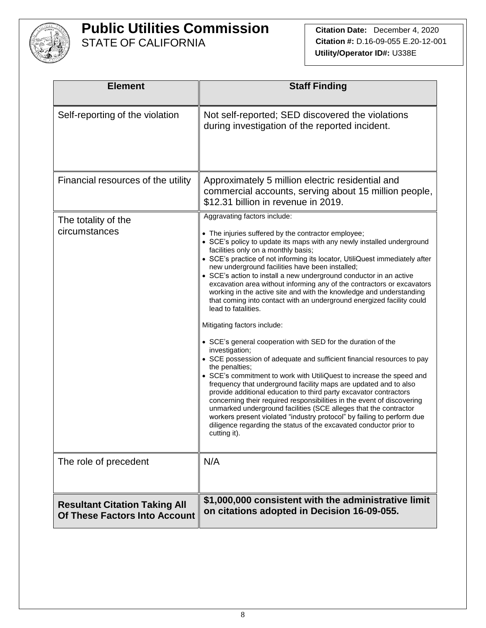

| <b>Element</b>                                                               | <b>Staff Finding</b>                                                                                                                                                                                                                                                                                                                                                                                                                                                                                                                                                                                                                                                                                                                                                                                                                                                                                                                                                                                                                                                                                                                                                                                                                                                                                                                                                                                      |
|------------------------------------------------------------------------------|-----------------------------------------------------------------------------------------------------------------------------------------------------------------------------------------------------------------------------------------------------------------------------------------------------------------------------------------------------------------------------------------------------------------------------------------------------------------------------------------------------------------------------------------------------------------------------------------------------------------------------------------------------------------------------------------------------------------------------------------------------------------------------------------------------------------------------------------------------------------------------------------------------------------------------------------------------------------------------------------------------------------------------------------------------------------------------------------------------------------------------------------------------------------------------------------------------------------------------------------------------------------------------------------------------------------------------------------------------------------------------------------------------------|
| Self-reporting of the violation                                              | Not self-reported; SED discovered the violations<br>during investigation of the reported incident.                                                                                                                                                                                                                                                                                                                                                                                                                                                                                                                                                                                                                                                                                                                                                                                                                                                                                                                                                                                                                                                                                                                                                                                                                                                                                                        |
| Financial resources of the utility                                           | Approximately 5 million electric residential and<br>commercial accounts, serving about 15 million people,<br>\$12.31 billion in revenue in 2019.                                                                                                                                                                                                                                                                                                                                                                                                                                                                                                                                                                                                                                                                                                                                                                                                                                                                                                                                                                                                                                                                                                                                                                                                                                                          |
| The totality of the<br>circumstances                                         | Aggravating factors include:<br>• The injuries suffered by the contractor employee;<br>• SCE's policy to update its maps with any newly installed underground<br>facilities only on a monthly basis;<br>• SCE's practice of not informing its locator, UtiliQuest immediately after<br>new underground facilities have been installed;<br>• SCE's action to install a new underground conductor in an active<br>excavation area without informing any of the contractors or excavators<br>working in the active site and with the knowledge and understanding<br>that coming into contact with an underground energized facility could<br>lead to fatalities.<br>Mitigating factors include:<br>• SCE's general cooperation with SED for the duration of the<br>investigation;<br>• SCE possession of adequate and sufficient financial resources to pay<br>the penalties;<br>• SCE's commitment to work with UtiliQuest to increase the speed and<br>frequency that underground facility maps are updated and to also<br>provide additional education to third party excavator contractors<br>concerning their required responsibilities in the event of discovering<br>unmarked underground facilities (SCE alleges that the contractor<br>workers present violated "industry protocol" by failing to perform due<br>diligence regarding the status of the excavated conductor prior to<br>cutting it). |
| The role of precedent                                                        | N/A                                                                                                                                                                                                                                                                                                                                                                                                                                                                                                                                                                                                                                                                                                                                                                                                                                                                                                                                                                                                                                                                                                                                                                                                                                                                                                                                                                                                       |
| <b>Resultant Citation Taking All</b><br><b>Of These Factors Into Account</b> | \$1,000,000 consistent with the administrative limit<br>on citations adopted in Decision 16-09-055.                                                                                                                                                                                                                                                                                                                                                                                                                                                                                                                                                                                                                                                                                                                                                                                                                                                                                                                                                                                                                                                                                                                                                                                                                                                                                                       |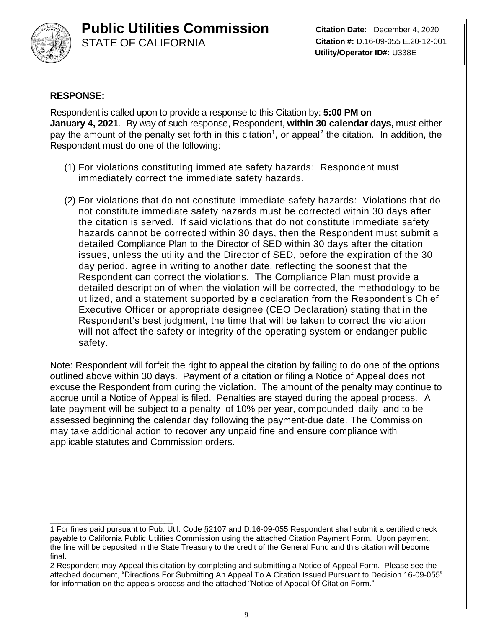

**Citation Date:** December 4, 2020 **Citation #:** D.16-09-055 E.20-12-001 **Utility/Operator ID#:** U338E

#### **RESPONSE:**

Respondent is called upon to provide a response to this Citation by: **5:00 PM on January 4, 2021**. By way of such response, Respondent, **within 30 calendar days,** must either pay the amount of the penalty set forth in this citation<sup>1</sup>, or appeal<sup>2</sup> the citation. In addition, the Respondent must do one of the following:

- (1) For violations constituting immediate safety hazards: Respondent must immediately correct the immediate safety hazards.
- (2) For violations that do not constitute immediate safety hazards: Violations that do not constitute immediate safety hazards must be corrected within 30 days after the citation is served. If said violations that do not constitute immediate safety hazards cannot be corrected within 30 days, then the Respondent must submit a detailed Compliance Plan to the Director of SED within 30 days after the citation issues, unless the utility and the Director of SED, before the expiration of the 30 day period, agree in writing to another date, reflecting the soonest that the Respondent can correct the violations. The Compliance Plan must provide a detailed description of when the violation will be corrected, the methodology to be utilized, and a statement supported by a declaration from the Respondent's Chief Executive Officer or appropriate designee (CEO Declaration) stating that in the Respondent's best judgment, the time that will be taken to correct the violation will not affect the safety or integrity of the operating system or endanger public safety.

Note: Respondent will forfeit the right to appeal the citation by failing to do one of the options outlined above within 30 days. Payment of a citation or filing a Notice of Appeal does not excuse the Respondent from curing the violation. The amount of the penalty may continue to accrue until a Notice of Appeal is filed. Penalties are stayed during the appeal process. A late payment will be subject to a penalty of 10% per year, compounded daily and to be assessed beginning the calendar day following the payment-due date. The Commission may take additional action to recover any unpaid fine and ensure compliance with applicable statutes and Commission orders.

\_\_\_\_\_\_\_\_\_\_\_\_\_\_\_\_\_\_\_\_\_\_\_\_\_\_\_\_ 1 For fines paid pursuant to Pub. Util. Code §2107 and D.16-09-055 Respondent shall submit a certified check payable to California Public Utilities Commission using the attached Citation Payment Form. Upon payment, the fine will be deposited in the State Treasury to the credit of the General Fund and this citation will become final.

<sup>2</sup> Respondent may Appeal this citation by completing and submitting a Notice of Appeal Form. Please see the attached document, "Directions For Submitting An Appeal To A Citation Issued Pursuant to Decision 16-09-055" for information on the appeals process and the attached "Notice of Appeal Of Citation Form."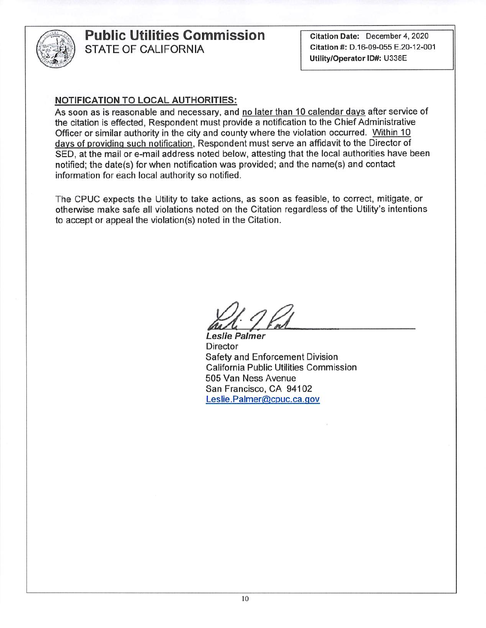

Citation Date: December 4, 2020 Citation #: D.16-09-055 E.20-12-001 Utility/Operator ID#: U338E

#### **NOTIFICATION TO LOCAL AUTHORITIES:**

As soon as is reasonable and necessary, and no later than 10 calendar days after service of the citation is effected, Respondent must provide a notification to the Chief Administrative Officer or similar authority in the city and county where the violation occurred. Within 10 days of providing such notification, Respondent must serve an affidavit to the Director of SED, at the mail or e-mail address noted below, attesting that the local authorities have been notified; the date(s) for when notification was provided; and the name(s) and contact information for each local authority so notified.

The CPUC expects the Utility to take actions, as soon as feasible, to correct, mitigate, or otherwise make safe all violations noted on the Citation regardless of the Utility's intentions to accept or appeal the violation(s) noted in the Citation.

Leslie Palmer **Director** Safety and Enforcement Division **California Public Utilities Commission** 505 Van Ness Avenue San Francisco, CA 94102 Leslie.Palmer@cpuc.ca.gov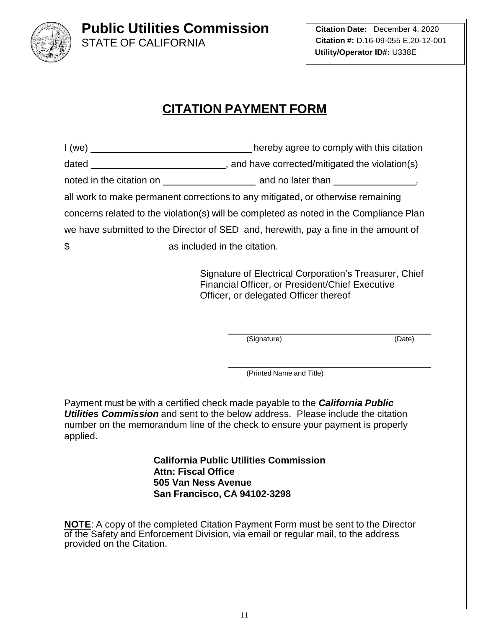

**Citation Date:** December 4, 2020 **Citation #:** D.16-09-055 E.20-12-001 **Utility/Operator ID#:** U338E

## **CITATION PAYMENT FORM**

| 1 (we)                                                                                 | hereby agree to comply with this citation |  |  |  |
|----------------------------------------------------------------------------------------|-------------------------------------------|--|--|--|
|                                                                                        |                                           |  |  |  |
|                                                                                        |                                           |  |  |  |
| all work to make permanent corrections to any mitigated, or otherwise remaining        |                                           |  |  |  |
| concerns related to the violation(s) will be completed as noted in the Compliance Plan |                                           |  |  |  |
| we have submitted to the Director of SED and, herewith, pay a fine in the amount of    |                                           |  |  |  |
| \$ as included in the citation.                                                        |                                           |  |  |  |

Signature of Electrical Corporation's Treasurer, Chief Financial Officer, or President/Chief Executive Officer, or delegated Officer thereof

(Signature) (Date)

(Printed Name and Title)

Payment must be with a certified check made payable to the *California Public Utilities Commission* and sent to the below address. Please include the citation number on the memorandum line of the check to ensure your payment is properly applied.

> **California Public Utilities Commission Attn: Fiscal Office 505 Van Ness Avenue San Francisco, CA 94102-3298**

**NOTE**: A copy of the completed Citation Payment Form must be sent to the Director of the Safety and Enforcement Division, via email or regular mail, to the address provided on the Citation.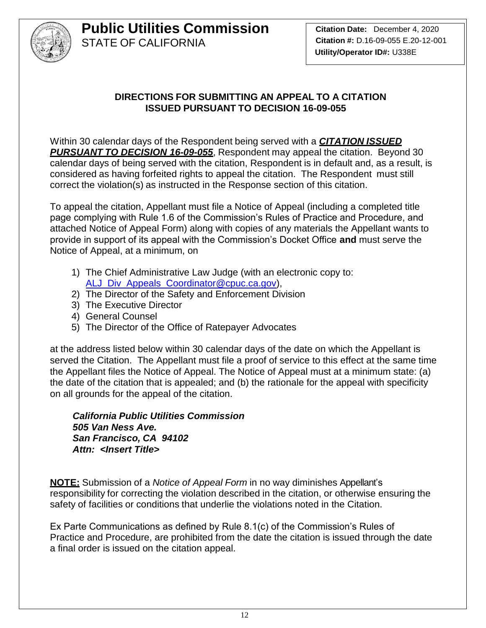

## **DIRECTIONS FOR SUBMITTING AN APPEAL TO A CITATION ISSUED PURSUANT TO DECISION 16-09-055**

Within 30 calendar days of the Respondent being served with a *CITATION ISSUED PURSUANT TO DECISION 16-09-055*, Respondent may appeal the citation. Beyond 30 calendar days of being served with the citation, Respondent is in default and, as a result, is considered as having forfeited rights to appeal the citation. The Respondent must still correct the violation(s) as instructed in the Response section of this citation.

To appeal the citation, Appellant must file a Notice of Appeal (including a completed title page complying with Rule 1.6 of the Commission's Rules of Practice and Procedure, and attached Notice of Appeal Form) along with copies of any materials the Appellant wants to provide in support of its appeal with the Commission's Docket Office **and** must serve the Notice of Appeal, at a minimum, on

- 1) The Chief Administrative Law Judge (with an electronic copy to: [ALJ\\_Div\\_Appeals\\_Coordinator@cpuc.ca.gov\)](mailto:ALJ_Div_Appeals_Coordinator@cpuc.ca.gov),
- 2) The Director of the Safety and Enforcement Division
- 3) The Executive Director
- 4) General Counsel
- 5) The Director of the Office of Ratepayer Advocates

at the address listed below within 30 calendar days of the date on which the Appellant is served the Citation. The Appellant must file a proof of service to this effect at the same time the Appellant files the Notice of Appeal. The Notice of Appeal must at a minimum state: (a) the date of the citation that is appealed; and (b) the rationale for the appeal with specificity on all grounds for the appeal of the citation.

*California Public Utilities Commission 505 Van Ness Ave. San Francisco, CA 94102 Attn: <Insert Title>*

**NOTE:** Submission of a *Notice of Appeal Form* in no way diminishes Appellant's responsibility for correcting the violation described in the citation, or otherwise ensuring the safety of facilities or conditions that underlie the violations noted in the Citation.

Ex Parte Communications as defined by Rule 8.1(c) of the Commission's Rules of Practice and Procedure, are prohibited from the date the citation is issued through the date a final order is issued on the citation appeal.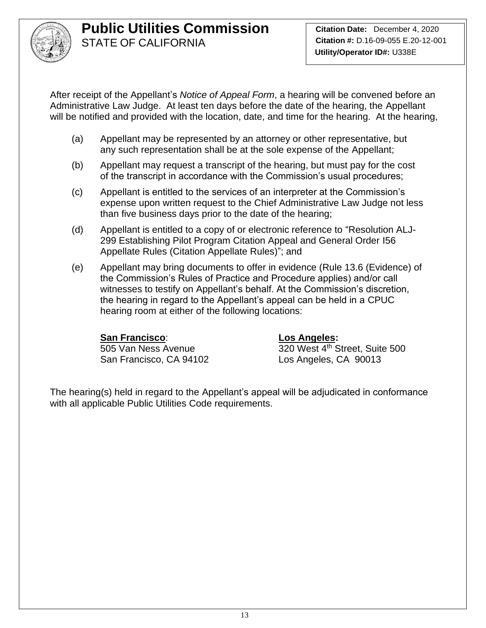

After receipt of the Appellant's *Notice of Appeal Form*, a hearing will be convened before an Administrative Law Judge. At least ten days before the date of the hearing, the Appellant will be notified and provided with the location, date, and time for the hearing. At the hearing,

- (a) Appellant may be represented by an attorney or other representative, but any such representation shall be at the sole expense of the Appellant;
- (b) Appellant may request a transcript of the hearing, but must pay for the cost of the transcript in accordance with the Commission's usual procedures;
- (c) Appellant is entitled to the services of an interpreter at the Commission's expense upon written request to the Chief Administrative Law Judge not less than five business days prior to the date of the hearing;
- (d) Appellant is entitled to a copy of or electronic reference to "Resolution ALJ-299 Establishing Pilot Program Citation Appeal and General Order I56 Appellate Rules (Citation Appellate Rules)"; and
- (e) Appellant may bring documents to offer in evidence (Rule 13.6 (Evidence) of the Commission's Rules of Practice and Procedure applies) and/or call witnesses to testify on Appellant's behalf. At the Commission's discretion, the hearing in regard to the Appellant's appeal can be held in a CPUC hearing room at either of the following locations:

## **San Francisco**: **Los Angeles:**

San Francisco, CA 94102 Los Angeles, CA 90013

505 Van Ness Avenue 320 West 4<sup>th</sup> Street, Suite 500

The hearing(s) held in regard to the Appellant's appeal will be adjudicated in conformance with all applicable Public Utilities Code requirements.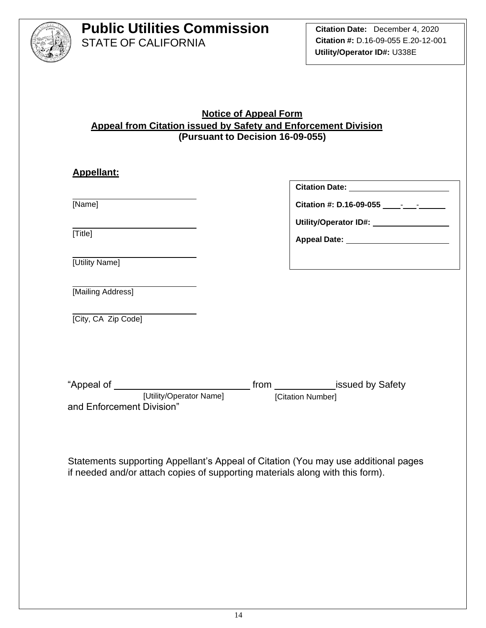

#### **Notice of Appeal Form Appeal from Citation issued by Safety and Enforcement Division (Pursuant to Decision 16-09-055)**

| <b>Appellant:</b>                                                      |                                                                                                      |
|------------------------------------------------------------------------|------------------------------------------------------------------------------------------------------|
|                                                                        | Citation Date: ________________________                                                              |
| [Name]                                                                 |                                                                                                      |
|                                                                        | Utility/Operator ID#: \\square\\sqrtD#!\\sqrtD#!\\sqrtD#!\\sqrtD#!\\sqrtD#!\\sqrtD#!\\sqrtD#!\\sqrtD |
| [Title]                                                                | Appeal Date: <u>________________________</u>                                                         |
| [Utility Name]                                                         |                                                                                                      |
| [Mailing Address]                                                      |                                                                                                      |
| [City, CA Zip Code]                                                    |                                                                                                      |
|                                                                        |                                                                                                      |
|                                                                        |                                                                                                      |
| [Utility/Operator Name] [Citation Number]<br>and Enforcement Division" |                                                                                                      |
|                                                                        |                                                                                                      |

Statements supporting Appellant's Appeal of Citation (You may use additional pages if needed and/or attach copies of supporting materials along with this form).